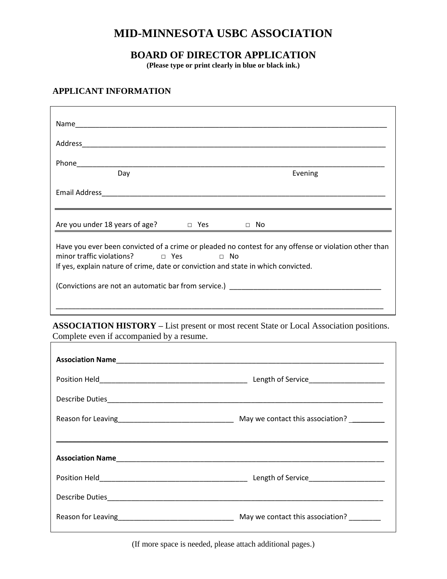# **MID-MINNESOTA USBC ASSOCIATION**

# **BOARD OF DIRECTOR APPLICATION**

**(Please type or print clearly in blue or black ink.)**

## **APPLICANT INFORMATION**

| Day                                                                                                                                                                                                                                | Evening                                                                                                        |
|------------------------------------------------------------------------------------------------------------------------------------------------------------------------------------------------------------------------------------|----------------------------------------------------------------------------------------------------------------|
|                                                                                                                                                                                                                                    |                                                                                                                |
| Are you under 18 years of age? $\Box$ Yes $\Box$ No                                                                                                                                                                                |                                                                                                                |
| Have you ever been convicted of a crime or pleaded no contest for any offense or violation other than<br>minor traffic violations? □ Yes □ No<br>If yes, explain nature of crime, date or conviction and state in which convicted. |                                                                                                                |
|                                                                                                                                                                                                                                    | (Convictions are not an automatic bar from service.) example and the same of the series of the series of the s |
|                                                                                                                                                                                                                                    |                                                                                                                |

**ASSOCIATION HISTORY –** List present or most recent State or Local Association positions. Complete even if accompanied by a resume.

| Reason for Leaving <b>Exercise 2.1 All and Service 2.1 All and Service 2.1 All and Service 2.1 All and Service 2.</b> |  |
|-----------------------------------------------------------------------------------------------------------------------|--|

(If more space is needed, please attach additional pages.)